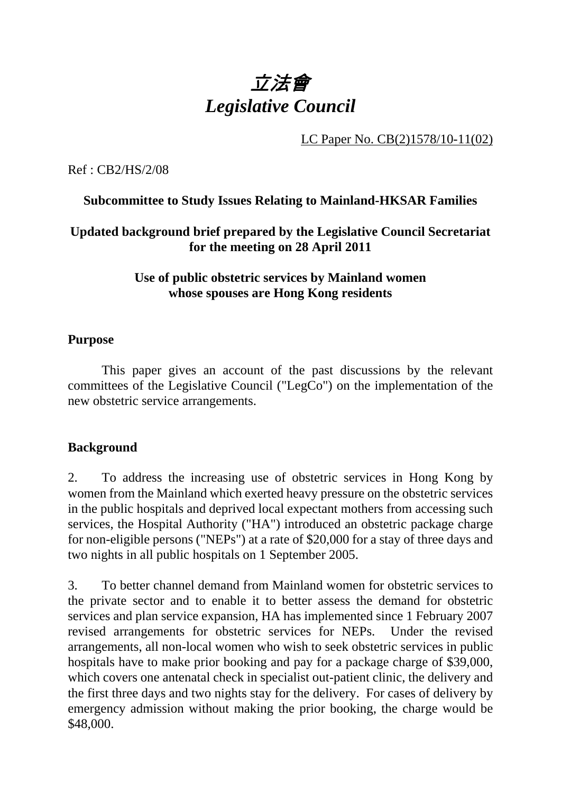

LC Paper No. CB(2)1578/10-11(02)

Ref : CB2/HS/2/08

### **Subcommittee to Study Issues Relating to Mainland-HKSAR Families**

## **Updated background brief prepared by the Legislative Council Secretariat for the meeting on 28 April 2011**

### **Use of public obstetric services by Mainland women whose spouses are Hong Kong residents**

### **Purpose**

 This paper gives an account of the past discussions by the relevant committees of the Legislative Council ("LegCo") on the implementation of the new obstetric service arrangements.

### **Background**

2. To address the increasing use of obstetric services in Hong Kong by women from the Mainland which exerted heavy pressure on the obstetric services in the public hospitals and deprived local expectant mothers from accessing such services, the Hospital Authority ("HA") introduced an obstetric package charge for non-eligible persons ("NEPs") at a rate of \$20,000 for a stay of three days and two nights in all public hospitals on 1 September 2005.

3. To better channel demand from Mainland women for obstetric services to the private sector and to enable it to better assess the demand for obstetric services and plan service expansion, HA has implemented since 1 February 2007 revised arrangements for obstetric services for NEPs. Under the revised arrangements, all non-local women who wish to seek obstetric services in public hospitals have to make prior booking and pay for a package charge of \$39,000, which covers one antenatal check in specialist out-patient clinic, the delivery and the first three days and two nights stay for the delivery. For cases of delivery by emergency admission without making the prior booking, the charge would be \$48,000.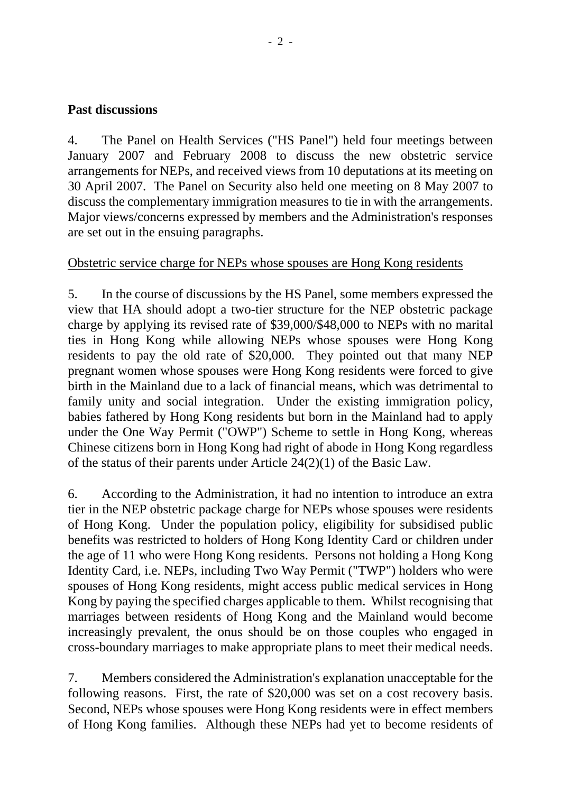#### **Past discussions**

4. The Panel on Health Services ("HS Panel") held four meetings between January 2007 and February 2008 to discuss the new obstetric service arrangements for NEPs, and received views from 10 deputations at its meeting on 30 April 2007. The Panel on Security also held one meeting on 8 May 2007 to discuss the complementary immigration measures to tie in with the arrangements. Major views/concerns expressed by members and the Administration's responses are set out in the ensuing paragraphs.

#### Obstetric service charge for NEPs whose spouses are Hong Kong residents

5. In the course of discussions by the HS Panel, some members expressed the view that HA should adopt a two-tier structure for the NEP obstetric package charge by applying its revised rate of \$39,000/\$48,000 to NEPs with no marital ties in Hong Kong while allowing NEPs whose spouses were Hong Kong residents to pay the old rate of \$20,000. They pointed out that many NEP pregnant women whose spouses were Hong Kong residents were forced to give birth in the Mainland due to a lack of financial means, which was detrimental to family unity and social integration. Under the existing immigration policy, babies fathered by Hong Kong residents but born in the Mainland had to apply under the One Way Permit ("OWP") Scheme to settle in Hong Kong, whereas Chinese citizens born in Hong Kong had right of abode in Hong Kong regardless of the status of their parents under Article 24(2)(1) of the Basic Law.

6. According to the Administration, it had no intention to introduce an extra tier in the NEP obstetric package charge for NEPs whose spouses were residents of Hong Kong. Under the population policy, eligibility for subsidised public benefits was restricted to holders of Hong Kong Identity Card or children under the age of 11 who were Hong Kong residents. Persons not holding a Hong Kong Identity Card, i.e. NEPs, including Two Way Permit ("TWP") holders who were spouses of Hong Kong residents, might access public medical services in Hong Kong by paying the specified charges applicable to them. Whilst recognising that marriages between residents of Hong Kong and the Mainland would become increasingly prevalent, the onus should be on those couples who engaged in cross-boundary marriages to make appropriate plans to meet their medical needs.

7. Members considered the Administration's explanation unacceptable for the following reasons. First, the rate of \$20,000 was set on a cost recovery basis. Second, NEPs whose spouses were Hong Kong residents were in effect members of Hong Kong families. Although these NEPs had yet to become residents of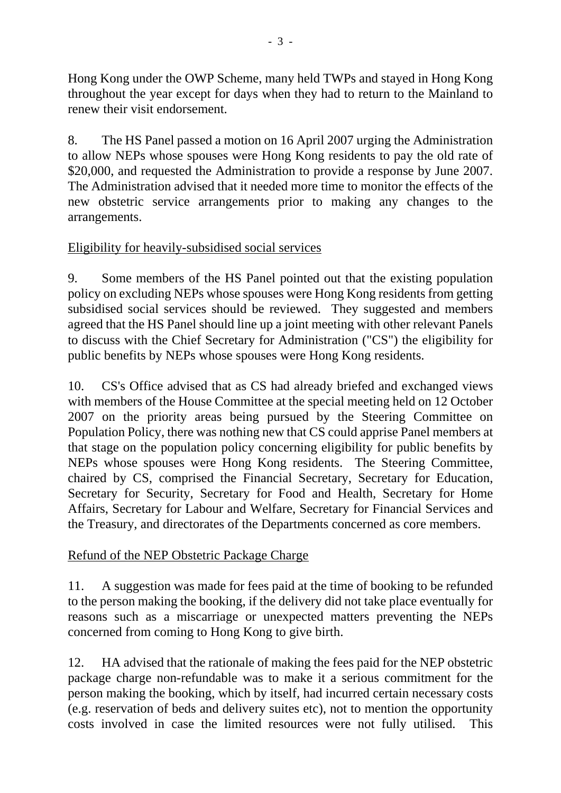Hong Kong under the OWP Scheme, many held TWPs and stayed in Hong Kong throughout the year except for days when they had to return to the Mainland to renew their visit endorsement.

8. The HS Panel passed a motion on 16 April 2007 urging the Administration to allow NEPs whose spouses were Hong Kong residents to pay the old rate of \$20,000, and requested the Administration to provide a response by June 2007. The Administration advised that it needed more time to monitor the effects of the new obstetric service arrangements prior to making any changes to the arrangements.

# Eligibility for heavily-subsidised social services

9. Some members of the HS Panel pointed out that the existing population policy on excluding NEPs whose spouses were Hong Kong residents from getting subsidised social services should be reviewed. They suggested and members agreed that the HS Panel should line up a joint meeting with other relevant Panels to discuss with the Chief Secretary for Administration ("CS") the eligibility for public benefits by NEPs whose spouses were Hong Kong residents.

10. CS's Office advised that as CS had already briefed and exchanged views with members of the House Committee at the special meeting held on 12 October 2007 on the priority areas being pursued by the Steering Committee on Population Policy, there was nothing new that CS could apprise Panel members at that stage on the population policy concerning eligibility for public benefits by NEPs whose spouses were Hong Kong residents. The Steering Committee, chaired by CS, comprised the Financial Secretary, Secretary for Education, Secretary for Security, Secretary for Food and Health, Secretary for Home Affairs, Secretary for Labour and Welfare, Secretary for Financial Services and the Treasury, and directorates of the Departments concerned as core members.

### Refund of the NEP Obstetric Package Charge

11. A suggestion was made for fees paid at the time of booking to be refunded to the person making the booking, if the delivery did not take place eventually for reasons such as a miscarriage or unexpected matters preventing the NEPs concerned from coming to Hong Kong to give birth.

12. HA advised that the rationale of making the fees paid for the NEP obstetric package charge non-refundable was to make it a serious commitment for the person making the booking, which by itself, had incurred certain necessary costs (e.g. reservation of beds and delivery suites etc), not to mention the opportunity costs involved in case the limited resources were not fully utilised. This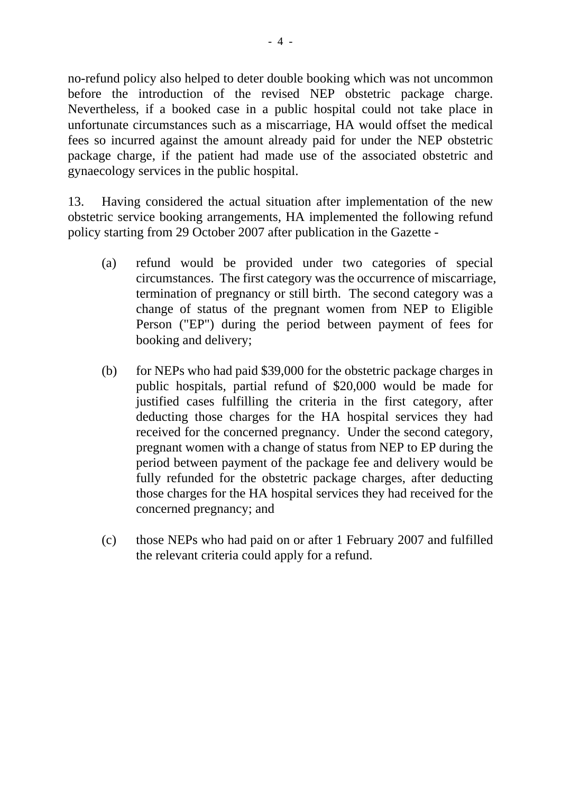no-refund policy also helped to deter double booking which was not uncommon before the introduction of the revised NEP obstetric package charge. Nevertheless, if a booked case in a public hospital could not take place in unfortunate circumstances such as a miscarriage, HA would offset the medical fees so incurred against the amount already paid for under the NEP obstetric package charge, if the patient had made use of the associated obstetric and gynaecology services in the public hospital.

13. Having considered the actual situation after implementation of the new obstetric service booking arrangements, HA implemented the following refund policy starting from 29 October 2007 after publication in the Gazette -

- (a) refund would be provided under two categories of special circumstances. The first category was the occurrence of miscarriage, termination of pregnancy or still birth. The second category was a change of status of the pregnant women from NEP to Eligible Person ("EP") during the period between payment of fees for booking and delivery;
- (b) for NEPs who had paid \$39,000 for the obstetric package charges in public hospitals, partial refund of \$20,000 would be made for justified cases fulfilling the criteria in the first category, after deducting those charges for the HA hospital services they had received for the concerned pregnancy. Under the second category, pregnant women with a change of status from NEP to EP during the period between payment of the package fee and delivery would be fully refunded for the obstetric package charges, after deducting those charges for the HA hospital services they had received for the concerned pregnancy; and
- (c) those NEPs who had paid on or after 1 February 2007 and fulfilled the relevant criteria could apply for a refund.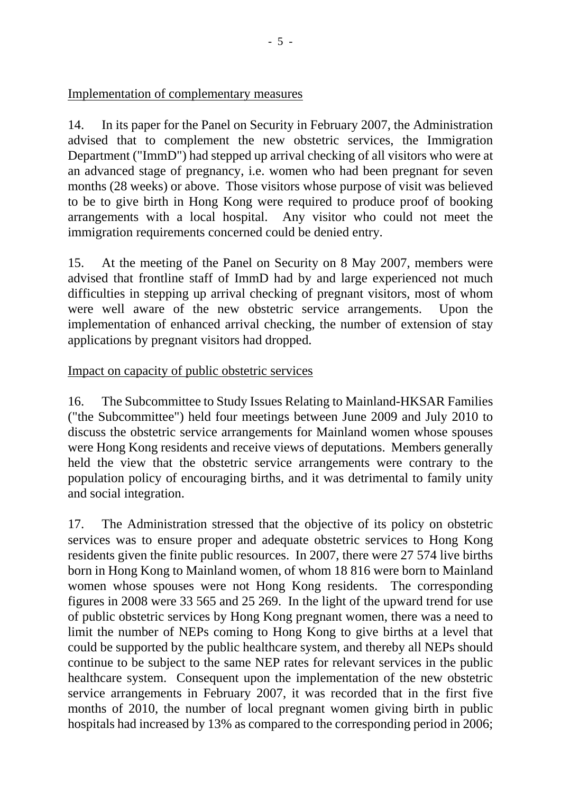### Implementation of complementary measures

14. In its paper for the Panel on Security in February 2007, the Administration advised that to complement the new obstetric services, the Immigration Department ("ImmD") had stepped up arrival checking of all visitors who were at an advanced stage of pregnancy, i.e. women who had been pregnant for seven months (28 weeks) or above. Those visitors whose purpose of visit was believed to be to give birth in Hong Kong were required to produce proof of booking arrangements with a local hospital. Any visitor who could not meet the immigration requirements concerned could be denied entry.

15. At the meeting of the Panel on Security on 8 May 2007, members were advised that frontline staff of ImmD had by and large experienced not much difficulties in stepping up arrival checking of pregnant visitors, most of whom were well aware of the new obstetric service arrangements. Upon the implementation of enhanced arrival checking, the number of extension of stay applications by pregnant visitors had dropped.

# Impact on capacity of public obstetric services

16. The Subcommittee to Study Issues Relating to Mainland-HKSAR Families ("the Subcommittee") held four meetings between June 2009 and July 2010 to discuss the obstetric service arrangements for Mainland women whose spouses were Hong Kong residents and receive views of deputations. Members generally held the view that the obstetric service arrangements were contrary to the population policy of encouraging births, and it was detrimental to family unity and social integration.

17. The Administration stressed that the objective of its policy on obstetric services was to ensure proper and adequate obstetric services to Hong Kong residents given the finite public resources. In 2007, there were 27,574 live births born in Hong Kong to Mainland women, of whom 18,816 were born to Mainland women whose spouses were not Hong Kong residents. The corresponding figures in 2008 were 33,565 and 25,269. In the light of the upward trend for use of public obstetric services by Hong Kong pregnant women, there was a need to limit the number of NEPs coming to Hong Kong to give births at a level that could be supported by the public healthcare system, and thereby all NEPs should continue to be subject to the same NEP rates for relevant services in the public healthcare system. Consequent upon the implementation of the new obstetric service arrangements in February 2007, it was recorded that in the first five months of 2010, the number of local pregnant women giving birth in public hospitals had increased by 13% as compared to the corresponding period in 2006;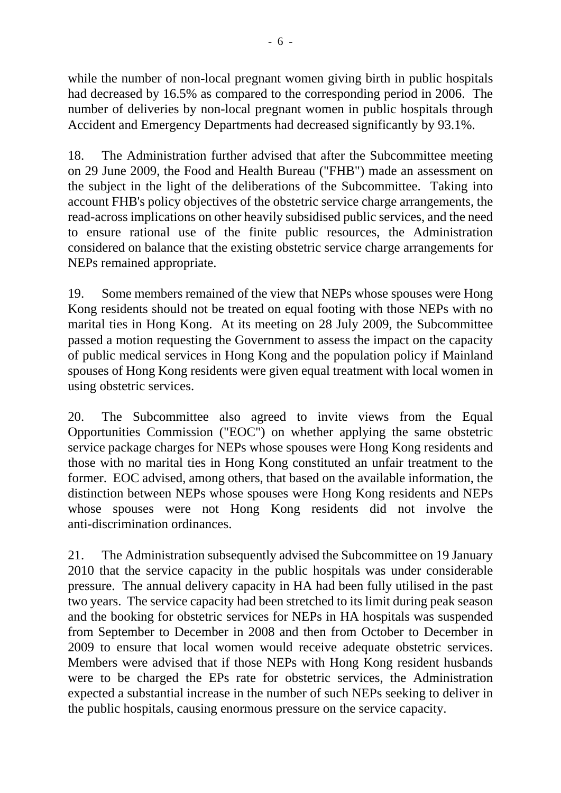while the number of non-local pregnant women giving birth in public hospitals had decreased by 16.5% as compared to the corresponding period in 2006. The number of deliveries by non-local pregnant women in public hospitals through Accident and Emergency Departments had decreased significantly by 93.1%.

18. The Administration further advised that after the Subcommittee meeting on 29 June 2009, the Food and Health Bureau ("FHB") made an assessment on the subject in the light of the deliberations of the Subcommittee. Taking into account FHB's policy objectives of the obstetric service charge arrangements, the read-across implications on other heavily subsidised public services, and the need to ensure rational use of the finite public resources, the Administration considered on balance that the existing obstetric service charge arrangements for NEPs remained appropriate.

19. Some members remained of the view that NEPs whose spouses were Hong Kong residents should not be treated on equal footing with those NEPs with no marital ties in Hong Kong. At its meeting on 28 July 2009, the Subcommittee passed a motion requesting the Government to assess the impact on the capacity of public medical services in Hong Kong and the population policy if Mainland spouses of Hong Kong residents were given equal treatment with local women in using obstetric services.

20. The Subcommittee also agreed to invite views from the Equal Opportunities Commission ("EOC") on whether applying the same obstetric service package charges for NEPs whose spouses were Hong Kong residents and those with no marital ties in Hong Kong constituted an unfair treatment to the former. EOC advised, among others, that based on the available information, the distinction between NEPs whose spouses were Hong Kong residents and NEPs whose spouses were not Hong Kong residents did not involve the anti-discrimination ordinances.

21. The Administration subsequently advised the Subcommittee on 19 January 2010 that the service capacity in the public hospitals was under considerable pressure. The annual delivery capacity in HA had been fully utilised in the past two years. The service capacity had been stretched to its limit during peak season and the booking for obstetric services for NEPs in HA hospitals was suspended from September to December in 2008 and then from October to December in 2009 to ensure that local women would receive adequate obstetric services. Members were advised that if those NEPs with Hong Kong resident husbands were to be charged the EPs rate for obstetric services, the Administration expected a substantial increase in the number of such NEPs seeking to deliver in the public hospitals, causing enormous pressure on the service capacity.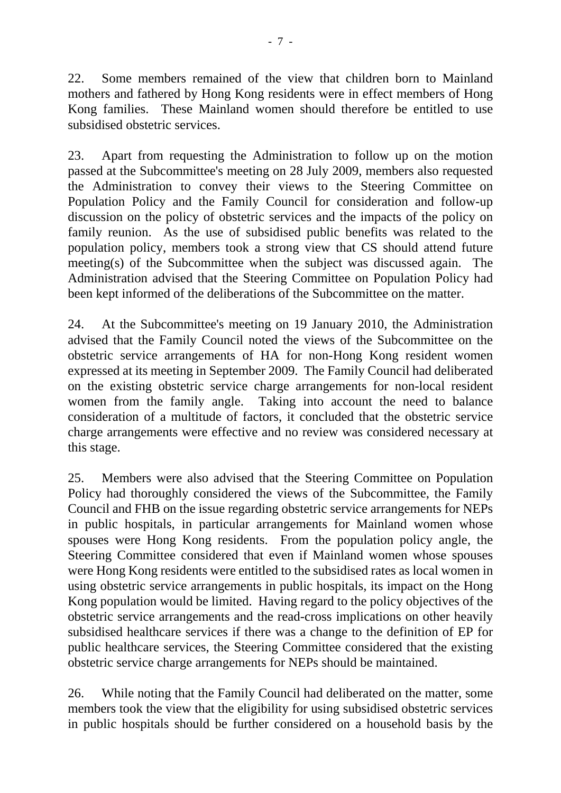22. Some members remained of the view that children born to Mainland mothers and fathered by Hong Kong residents were in effect members of Hong Kong families. These Mainland women should therefore be entitled to use subsidised obstetric services.

23. Apart from requesting the Administration to follow up on the motion passed at the Subcommittee's meeting on 28 July 2009, members also requested the Administration to convey their views to the Steering Committee on Population Policy and the Family Council for consideration and follow-up discussion on the policy of obstetric services and the impacts of the policy on family reunion. As the use of subsidised public benefits was related to the population policy, members took a strong view that CS should attend future meeting(s) of the Subcommittee when the subject was discussed again. The Administration advised that the Steering Committee on Population Policy had been kept informed of the deliberations of the Subcommittee on the matter.

24. At the Subcommittee's meeting on 19 January 2010, the Administration advised that the Family Council noted the views of the Subcommittee on the obstetric service arrangements of HA for non-Hong Kong resident women expressed at its meeting in September 2009. The Family Council had deliberated on the existing obstetric service charge arrangements for non-local resident women from the family angle. Taking into account the need to balance consideration of a multitude of factors, it concluded that the obstetric service charge arrangements were effective and no review was considered necessary at this stage.

25. Members were also advised that the Steering Committee on Population Policy had thoroughly considered the views of the Subcommittee, the Family Council and FHB on the issue regarding obstetric service arrangements for NEPs in public hospitals, in particular arrangements for Mainland women whose spouses were Hong Kong residents. From the population policy angle, the Steering Committee considered that even if Mainland women whose spouses were Hong Kong residents were entitled to the subsidised rates as local women in using obstetric service arrangements in public hospitals, its impact on the Hong Kong population would be limited. Having regard to the policy objectives of the obstetric service arrangements and the read-cross implications on other heavily subsidised healthcare services if there was a change to the definition of EP for public healthcare services, the Steering Committee considered that the existing obstetric service charge arrangements for NEPs should be maintained.

26. While noting that the Family Council had deliberated on the matter, some members took the view that the eligibility for using subsidised obstetric services in public hospitals should be further considered on a household basis by the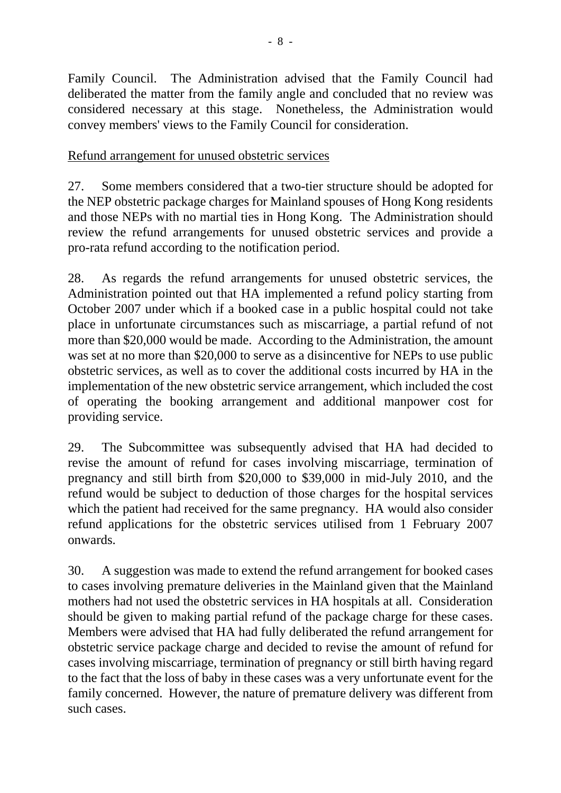Family Council. The Administration advised that the Family Council had deliberated the matter from the family angle and concluded that no review was considered necessary at this stage. Nonetheless, the Administration would convey members' views to the Family Council for consideration.

# Refund arrangement for unused obstetric services

27. Some members considered that a two-tier structure should be adopted for the NEP obstetric package charges for Mainland spouses of Hong Kong residents and those NEPs with no martial ties in Hong Kong. The Administration should review the refund arrangements for unused obstetric services and provide a pro-rata refund according to the notification period.

28. As regards the refund arrangements for unused obstetric services, the Administration pointed out that HA implemented a refund policy starting from October 2007 under which if a booked case in a public hospital could not take place in unfortunate circumstances such as miscarriage, a partial refund of not more than \$20,000 would be made. According to the Administration, the amount was set at no more than \$20,000 to serve as a disincentive for NEPs to use public obstetric services, as well as to cover the additional costs incurred by HA in the implementation of the new obstetric service arrangement, which included the cost of operating the booking arrangement and additional manpower cost for providing service.

29. The Subcommittee was subsequently advised that HA had decided to revise the amount of refund for cases involving miscarriage, termination of pregnancy and still birth from \$20,000 to \$39,000 in mid-July 2010, and the refund would be subject to deduction of those charges for the hospital services which the patient had received for the same pregnancy. HA would also consider refund applications for the obstetric services utilised from 1 February 2007 onwards.

30. A suggestion was made to extend the refund arrangement for booked cases to cases involving premature deliveries in the Mainland given that the Mainland mothers had not used the obstetric services in HA hospitals at all. Consideration should be given to making partial refund of the package charge for these cases. Members were advised that HA had fully deliberated the refund arrangement for obstetric service package charge and decided to revise the amount of refund for cases involving miscarriage, termination of pregnancy or still birth having regard to the fact that the loss of baby in these cases was a very unfortunate event for the family concerned. However, the nature of premature delivery was different from such cases.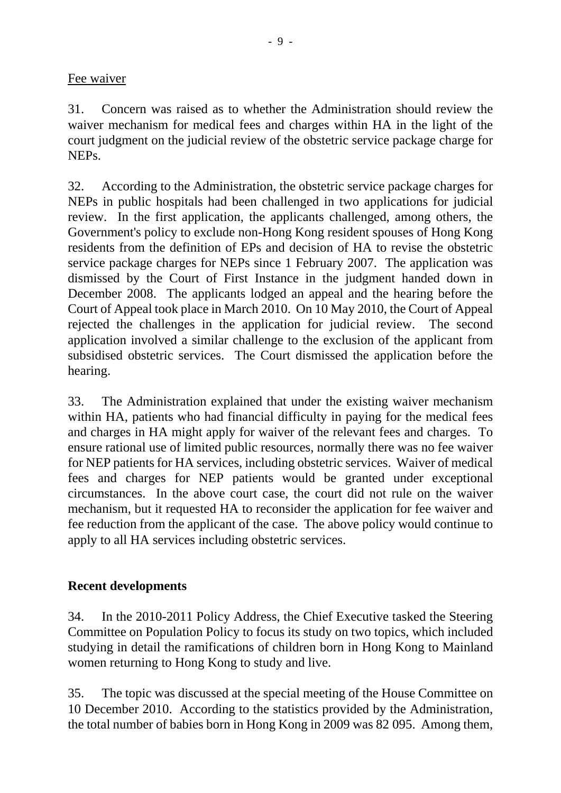### Fee waiver

31. Concern was raised as to whether the Administration should review the waiver mechanism for medical fees and charges within HA in the light of the court judgment on the judicial review of the obstetric service package charge for NEPs.

32. According to the Administration, the obstetric service package charges for NEPs in public hospitals had been challenged in two applications for judicial review. In the first application, the applicants challenged, among others, the Government's policy to exclude non-Hong Kong resident spouses of Hong Kong residents from the definition of EPs and decision of HA to revise the obstetric service package charges for NEPs since 1 February 2007. The application was dismissed by the Court of First Instance in the judgment handed down in December 2008. The applicants lodged an appeal and the hearing before the Court of Appeal took place in March 2010. On 10 May 2010, the Court of Appeal rejected the challenges in the application for judicial review. The second application involved a similar challenge to the exclusion of the applicant from subsidised obstetric services. The Court dismissed the application before the hearing.

33. The Administration explained that under the existing waiver mechanism within HA, patients who had financial difficulty in paying for the medical fees and charges in HA might apply for waiver of the relevant fees and charges. To ensure rational use of limited public resources, normally there was no fee waiver for NEP patients for HA services, including obstetric services. Waiver of medical fees and charges for NEP patients would be granted under exceptional circumstances. In the above court case, the court did not rule on the waiver mechanism, but it requested HA to reconsider the application for fee waiver and fee reduction from the applicant of the case. The above policy would continue to apply to all HA services including obstetric services.

### **Recent developments**

34. In the 2010-2011 Policy Address, the Chief Executive tasked the Steering Committee on Population Policy to focus its study on two topics, which included studying in detail the ramifications of children born in Hong Kong to Mainland women returning to Hong Kong to study and live.

35. The topic was discussed at the special meeting of the House Committee on 10 December 2010. According to the statistics provided by the Administration, the total number of babies born in Hong Kong in 2009 was 82,095. Among them,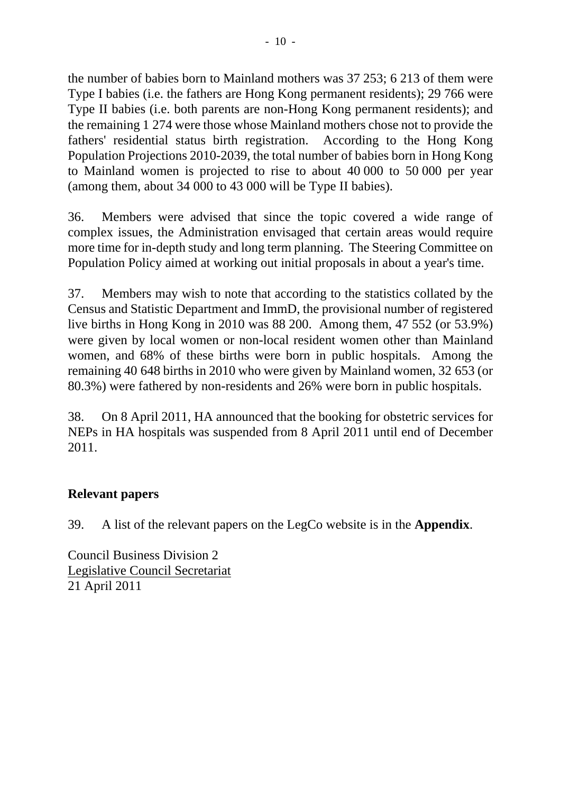the number of babies born to Mainland mothers was 37, 253; 6, 213 of them were Type I babies (i.e. the fathers are Hong Kong permanent residents); 29,766 were Type II babies (i.e. both parents are non-Hong Kong permanent residents); and the remaining 1,274 were those whose Mainland mothers chose not to provide the fathers' residential status birth registration. According to the Hong Kong Population Projections 2010-2039, the total number of babies born in Hong Kong to Mainland women is projected to rise to about 40,000 to 50,000 per year (among them, about 34,000 to 43,000 will be Type II babies).

36. Members were advised that since the topic covered a wide range of complex issues, the Administration envisaged that certain areas would require more time for in-depth study and long term planning. The Steering Committee on Population Policy aimed at working out initial proposals in about a year's time.

37. Members may wish to note that according to the statistics collated by the Census and Statistic Department and ImmD, the provisional number of registered live births in Hong Kong in 2010 was  $88,200$ . Among them, 47,552 (or 53.9%) were given by local women or non-local resident women other than Mainland women, and 68% of these births were born in public hospitals. Among the remaining 40 648 births in 2010 who were given by Mainland women, 32,653 (or 80.3%) were fathered by non-residents and 26% were born in public hospitals.

38. On 8 April 2011, HA announced that the booking for obstetric services for NEPs in HA hospitals was suspended from 8 April 2011 until end of December 2011.

### **Relevant papers**

39. A list of the relevant papers on the LegCo website is in the **Appendix**.

Council Business Division 2 Legislative Council Secretariat 21 April 2011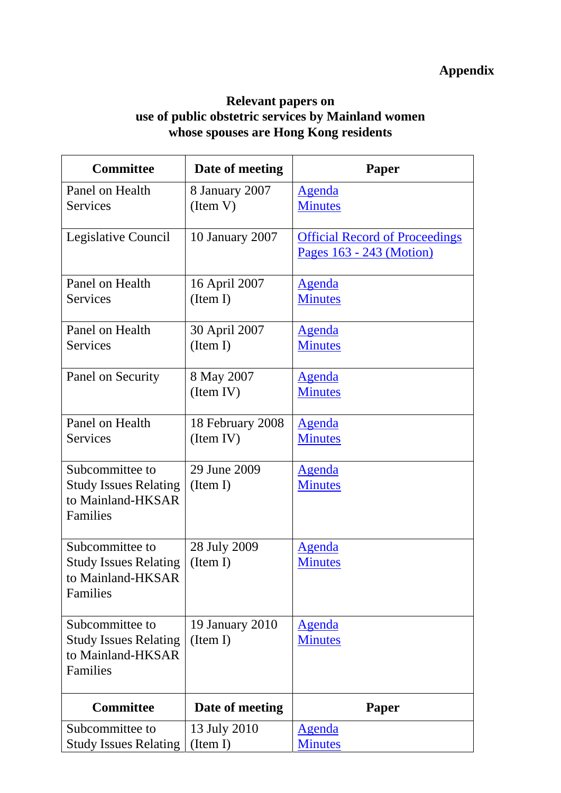#### **Relevant papers on use of public obstetric services by Mainland women whose spouses are Hong Kong residents**

| <b>Committee</b>                                              | Date of meeting  | Paper                                                             |
|---------------------------------------------------------------|------------------|-------------------------------------------------------------------|
| Panel on Health                                               | 8 January 2007   | <b>Agenda</b>                                                     |
| <b>Services</b>                                               | (Item V)         | <b>Minutes</b>                                                    |
| Legislative Council                                           | 10 January 2007  | <b>Official Record of Proceedings</b><br>Pages 163 - 243 (Motion) |
| Panel on Health                                               | 16 April 2007    | <u>Agenda</u>                                                     |
| Services                                                      | (Item I)         | <b>Minutes</b>                                                    |
| Panel on Health                                               | 30 April 2007    | <u>Agenda</u>                                                     |
| <b>Services</b>                                               | (Item I)         | <b>Minutes</b>                                                    |
| Panel on Security                                             | 8 May 2007       | <u>Agenda</u>                                                     |
|                                                               | (Item IV)        | <b>Minutes</b>                                                    |
| Panel on Health                                               | 18 February 2008 | <u>Agenda</u>                                                     |
| <b>Services</b>                                               | (Item IV)        | <b>Minutes</b>                                                    |
| Subcommittee to                                               | 29 June 2009     | <u>Agenda</u>                                                     |
| <b>Study Issues Relating</b><br>to Mainland-HKSAR<br>Families | (Item I)         | <b>Minutes</b>                                                    |
| Subcommittee to                                               | 28 July 2009     | <b>Agenda</b>                                                     |
| <b>Study Issues Relating</b><br>to Mainland-HKSAR<br>Families | (Item I)         | <b>Minutes</b>                                                    |
| Subcommittee to                                               | 19 January 2010  | <u>Agenda</u>                                                     |
| <b>Study Issues Relating</b><br>to Mainland-HKSAR<br>Families | (Item I)         | <b>Minutes</b>                                                    |
| <b>Committee</b>                                              | Date of meeting  | <b>Paper</b>                                                      |
| Subcommittee to                                               | 13 July 2010     | <u>Agenda</u>                                                     |
| <b>Study Issues Relating</b>                                  | (Item I)         | <b>Minutes</b>                                                    |